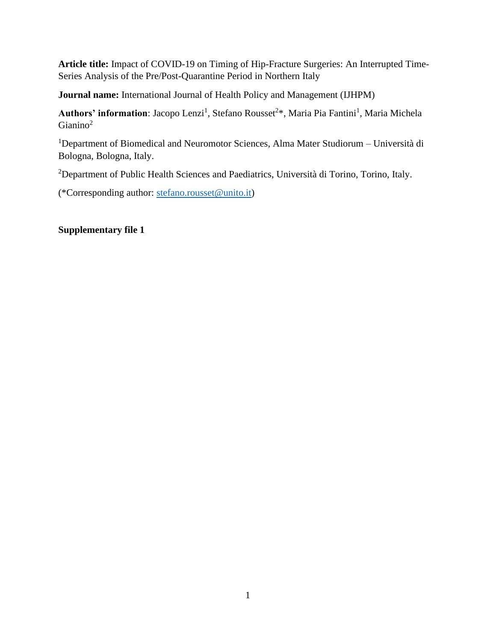**Article title:** Impact of COVID-19 on Timing of Hip-Fracture Surgeries: An Interrupted Time-Series Analysis of the Pre/Post-Quarantine Period in Northern Italy

**Journal name:** International Journal of Health Policy and Management (IJHPM)

Authors' information: Jacopo Lenzi<sup>1</sup>, Stefano Rousset<sup>2\*</sup>, Maria Pia Fantini<sup>1</sup>, Maria Michela  $Gianino<sup>2</sup>$ 

<sup>1</sup>Department of Biomedical and Neuromotor Sciences, Alma Mater Studiorum – Università di Bologna, Bologna, Italy.

<sup>2</sup>Department of Public Health Sciences and Paediatrics, Università di Torino, Torino, Italy.

(\*Corresponding author: [stefano.rousset@unito.it\)](mailto:stefano.rousset@unito.it)

**Supplementary file 1**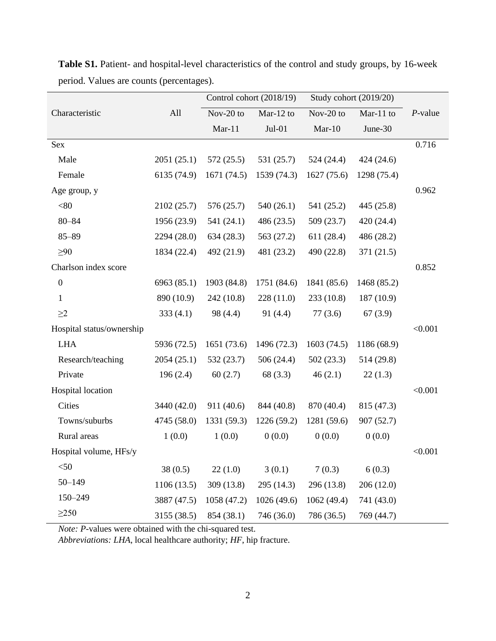|                           |             | Control cohort (2018/19) |             | Study cohort (2019/20) |             |            |
|---------------------------|-------------|--------------------------|-------------|------------------------|-------------|------------|
| Characteristic            | All         | Nov-20 to                | Mar-12 to   | Nov-20 to              | Mar-11 to   | $P$ -value |
|                           |             | $Mar-11$                 | $Jul-01$    | $Mar-10$               | June-30     |            |
| Sex                       |             |                          |             |                        |             | 0.716      |
| Male                      | 2051(25.1)  | 572 (25.5)               | 531 (25.7)  | 524 (24.4)             | 424 (24.6)  |            |
| Female                    | 6135 (74.9) | 1671 (74.5)              | 1539 (74.3) | 1627(75.6)             | 1298 (75.4) |            |
| Age group, y              |             |                          |             |                        |             | 0.962      |
| $<\!\!80$                 | 2102 (25.7) | 576 (25.7)               | 540(26.1)   | 541 (25.2)             | 445 (25.8)  |            |
| $80 - 84$                 | 1956 (23.9) | 541 (24.1)               | 486 (23.5)  | 509 (23.7)             | 420 (24.4)  |            |
| $85 - 89$                 | 2294 (28.0) | 634(28.3)                | 563 (27.2)  | 611 (28.4)             | 486 (28.2)  |            |
| $\geq 90$                 | 1834 (22.4) | 492 (21.9)               | 481 (23.2)  | 490 (22.8)             | 371 (21.5)  |            |
| Charlson index score      |             |                          |             |                        |             | 0.852      |
| $\boldsymbol{0}$          | 6963 (85.1) | 1903 (84.8)              | 1751 (84.6) | 1841 (85.6)            | 1468 (85.2) |            |
| $\mathbf{1}$              | 890 (10.9)  | 242 (10.8)               | 228(11.0)   | 233 (10.8)             | 187 (10.9)  |            |
| $\geq$ 2                  | 333(4.1)    | 98 (4.4)                 | 91(4.4)     | 77(3.6)                | 67(3.9)     |            |
| Hospital status/ownership |             |                          |             |                        |             | < 0.001    |
| <b>LHA</b>                | 5936 (72.5) | 1651(73.6)               | 1496 (72.3) | 1603(74.5)             | 1186 (68.9) |            |
| Research/teaching         | 2054(25.1)  | 532(23.7)                | 506(24.4)   | 502(23.3)              | 514 (29.8)  |            |
| Private                   | 196(2.4)    | 60(2.7)                  | 68 (3.3)    | 46(2.1)                | 22(1.3)     |            |
| Hospital location         |             |                          |             |                        |             | < 0.001    |
| Cities                    | 3440 (42.0) | 911 (40.6)               | 844 (40.8)  | 870 (40.4)             | 815 (47.3)  |            |
| Towns/suburbs             | 4745 (58.0) | 1331 (59.3)              | 1226(59.2)  | 1281 (59.6)            | 907 (52.7)  |            |
| Rural areas               | 1(0.0)      | 1(0.0)                   | 0(0.0)      | 0(0.0)                 | 0(0.0)      |            |
| Hospital volume, HFs/y    |             |                          |             |                        |             | < 0.001    |
| $<$ 50                    | 38(0.5)     | 22(1.0)                  | 3(0.1)      | 7(0.3)                 | 6(0.3)      |            |
| $50 - 149$                | 1106(13.5)  | 309 (13.8)               | 295 (14.3)  | 296 (13.8)             | 206 (12.0)  |            |
| 150-249                   | 3887 (47.5) | 1058 (47.2)              | 1026(49.6)  | 1062 (49.4)            | 741 (43.0)  |            |
| $\geq$ 250                | 3155 (38.5) | 854 (38.1)               | 746 (36.0)  | 786 (36.5)             | 769 (44.7)  |            |

**Table S1.** Patient- and hospital-level characteristics of the control and study groups, by 16-week period. Values are counts (percentages).

*Note: P*-values were obtained with the chi-squared test.

*Abbreviations: LHA*, local healthcare authority; *HF*, hip fracture.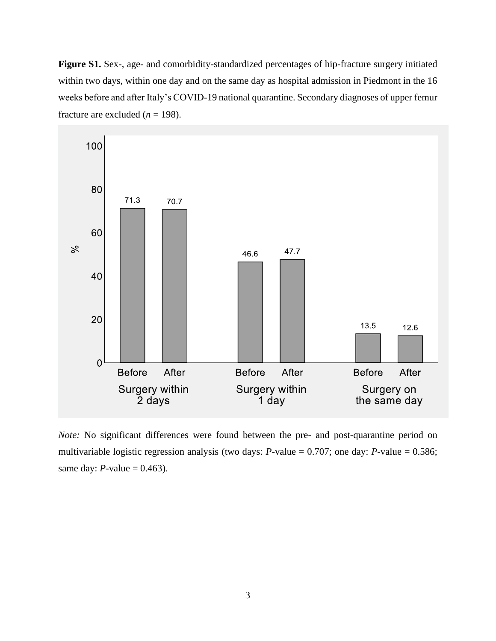**Figure S1.** Sex-, age- and comorbidity-standardized percentages of hip-fracture surgery initiated within two days, within one day and on the same day as hospital admission in Piedmont in the 16 weeks before and after Italy's COVID-19 national quarantine. Secondary diagnoses of upper femur fracture are excluded  $(n = 198)$ .



*Note:* No significant differences were found between the pre- and post-quarantine period on multivariable logistic regression analysis (two days: *P*-value = 0.707; one day: *P*-value = 0.586; same day:  $P$ -value = 0.463).